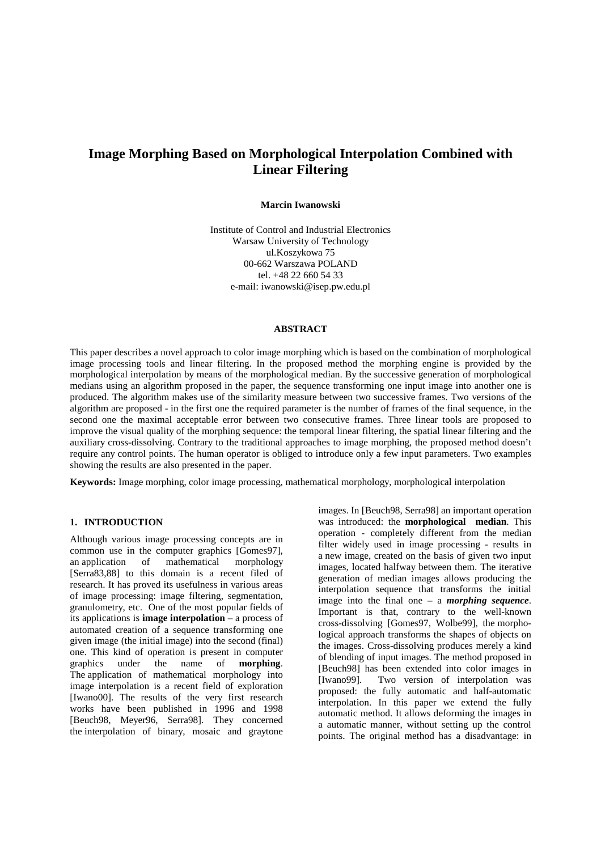# **Image Morphing Based on Morphological Interpolation Combined with Linear Filtering**

## **Marcin Iwanowski**

Institute of Control and Industrial Electronics Warsaw University of Technology ul.Koszykowa 75 00-662 Warszawa POLAND tel. +48 22 660 54 33 e-mail: iwanowski@isep.pw.edu.pl

## **ABSTRACT**

This paper describes a novel approach to color image morphing which is based on the combination of morphological image processing tools and linear filtering. In the proposed method the morphing engine is provided by the morphological interpolation by means of the morphological median. By the successive generation of morphological medians using an algorithm proposed in the paper, the sequence transforming one input image into another one is produced. The algorithm makes use of the similarity measure between two successive frames. Two versions of the algorithm are proposed - in the first one the required parameter is the number of frames of the final sequence, in the second one the maximal acceptable error between two consecutive frames. Three linear tools are proposed to improve the visual quality of the morphing sequence: the temporal linear filtering, the spatial linear filtering and the auxiliary cross-dissolving. Contrary to the traditional approaches to image morphing, the proposed method doesn't require any control points. The human operator is obliged to introduce only a few input parameters. Two examples showing the results are also presented in the paper.

**Keywords:** Image morphing, color image processing, mathematical morphology, morphological interpolation

## **1. INTRODUCTION**

Although various image processing concepts are in common use in the computer graphics [Gomes97], an application of mathematical morphology [Serra83,88] to this domain is a recent filed of research. It has proved its usefulness in various areas of image processing: image filtering, segmentation, granulometry, etc. One of the most popular fields of its applications is **image interpolation** – a process of automated creation of a sequence transforming one given image (the initial image) into the second (final) one. This kind of operation is present in computer graphics under the name of **morphing**. The application of mathematical morphology into image interpolation is a recent field of exploration [Iwano00]. The results of the very first research works have been published in 1996 and 1998 [Beuch98, Meyer96, Serra98]. They concerned the interpolation of binary, mosaic and graytone

images. In [Beuch98, Serra98] an important operation was introduced: the **morphological median**. This operation - completely different from the median filter widely used in image processing - results in a new image, created on the basis of given two input images, located halfway between them. The iterative generation of median images allows producing the interpolation sequence that transforms the initial image into the final one – a *morphing sequence*. Important is that, contrary to the well-known cross-dissolving [Gomes97, Wolbe99], the morphological approach transforms the shapes of objects on the images. Cross-dissolving produces merely a kind of blending of input images. The method proposed in [Beuch98] has been extended into color images in [Iwano99]. Two version of interpolation was proposed: the fully automatic and half-automatic interpolation. In this paper we extend the fully automatic method. It allows deforming the images in a automatic manner, without setting up the control points. The original method has a disadvantage: in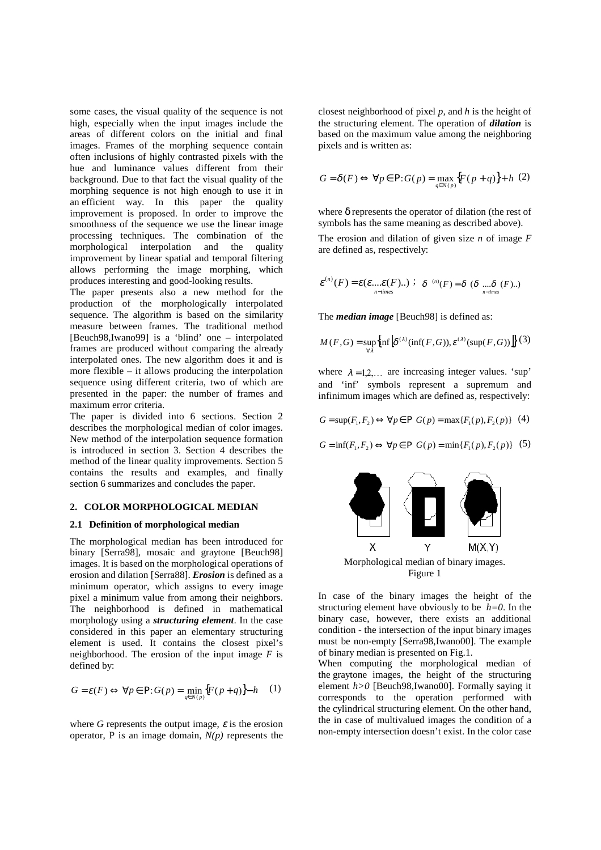some cases, the visual quality of the sequence is not high, especially when the input images include the areas of different colors on the initial and final images. Frames of the morphing sequence contain often inclusions of highly contrasted pixels with the hue and luminance values different from their background. Due to that fact the visual quality of the morphing sequence is not high enough to use it in an efficient way. In this paper the quality improvement is proposed. In order to improve the smoothness of the sequence we use the linear image processing techniques. The combination of the morphological interpolation and the quality improvement by linear spatial and temporal filtering allows performing the image morphing, which produces interesting and good-looking results.

The paper presents also a new method for the production of the morphologically interpolated sequence. The algorithm is based on the similarity measure between frames. The traditional method [Beuch98,Iwano99] is a 'blind' one – interpolated frames are produced without comparing the already interpolated ones. The new algorithm does it and is more flexible – it allows producing the interpolation sequence using different criteria, two of which are presented in the paper: the number of frames and maximum error criteria.

The paper is divided into 6 sections. Section 2 describes the morphological median of color images. New method of the interpolation sequence formation is introduced in section 3. Section 4 describes the method of the linear quality improvements. Section 5 contains the results and examples, and finally section 6 summarizes and concludes the paper.

#### **2. COLOR MORPHOLOGICAL MEDIAN**

## **2.1 Definition of morphological median**

The morphological median has been introduced for binary [Serra98], mosaic and graytone [Beuch98] images. It is based on the morphological operations of erosion and dilation [Serra88]. *Erosion* is defined as a minimum operator, which assigns to every image pixel a minimum value from among their neighbors. The neighborhood is defined in mathematical morphology using a *structuring element*. In the case considered in this paper an elementary structuring element is used. It contains the closest pixel's neighborhood. The erosion of the input image *F* is defined by:

$$
G = \varepsilon(F) \Leftrightarrow \forall p \in P : G(p) = \min_{q \in N(p)} \{ F(p+q) \} - h \quad (1)
$$

where *G* represents the output image,  $\varepsilon$  is the erosion operator, P is an image domain,  $N(p)$  represents the closest neighborhood of pixel *p,* and *h* is the height of the structuring element. The operation of *dilation* is based on the maximum value among the neighboring pixels and is written as:

$$
G = \delta(F) \Leftrightarrow \forall p \in P: G(p) = \max_{q \in N(p)} \{ F(p+q) \} + h \tag{2}
$$

where δ represents the operator of dilation (the rest of symbols has the same meaning as described above).

The erosion and dilation of given size *n* of image *F*  are defined as, respectively:

$$
\varepsilon^{(n)}(F) = \varepsilon(\varepsilon...\varepsilon(F))
$$
;  $\delta^{(n)}(F) = \delta (\delta \dots \delta (F))$ .

The *median image* [Beuch98] is defined as:

$$
M(F,G) = \sup_{\forall \lambda} \{ \inf \left[ \delta^{(\lambda)}(\inf(F,G)), \varepsilon^{(\lambda)}(\sup(F,G)) \right] \} (3)
$$

where  $\lambda = 1, 2, \dots$  are increasing integer values. 'sup' and 'inf' symbols represent a supremum and infinimum images which are defined as, respectively:

$$
G = \sup(F_1, F_2) \Leftrightarrow \forall p \in P \ G(p) = \max\{F_1(p), F_2(p)\} \ (4)
$$

$$
G = \inf(F_1, F_2) \Leftrightarrow \forall p \in P \ G(p) = \min\{F_1(p), F_2(p)\} \ (5)
$$



Figure 1

In case of the binary images the height of the structuring element have obviously to be  $h=0$ . In the binary case, however, there exists an additional condition - the intersection of the input binary images must be non-empty [Serra98,Iwano00]. The example of binary median is presented on Fig.1.

When computing the morphological median of the graytone images, the height of the structuring element *h*>0 [Beuch98,Iwano00]. Formally saying it corresponds to the operation performed with the cylindrical structuring element. On the other hand, the in case of multivalued images the condition of a non-empty intersection doesn't exist. In the color case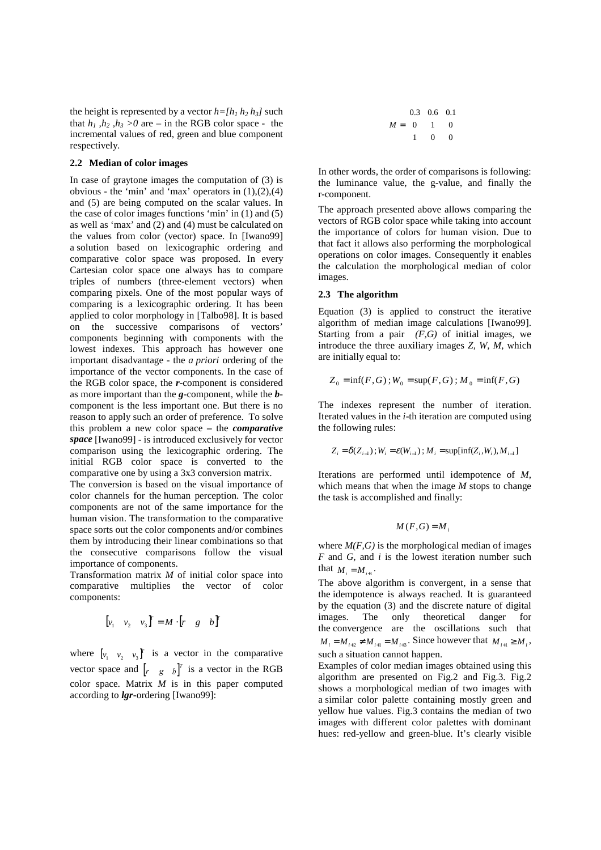the height is represented by a vector  $h = [h_1 h_2 h_3]$  such that  $h_1$ ,  $h_2$ ,  $h_3 > 0$  are – in the RGB color space - the incremental values of red, green and blue component respectively.

#### **2.2 Median of color images**

In case of graytone images the computation of (3) is obvious - the 'min' and 'max' operators in  $(1),(2),(4)$ and (5) are being computed on the scalar values. In the case of color images functions 'min' in (1) and (5) as well as 'max' and (2) and (4) must be calculated on the values from color (vector) space. In [Iwano99] a solution based on lexicographic ordering and comparative color space was proposed. In every Cartesian color space one always has to compare triples of numbers (three-element vectors) when comparing pixels. One of the most popular ways of comparing is a lexicographic ordering. It has been applied to color morphology in [Talbo98]. It is based on the successive comparisons of vectors' components beginning with components with the lowest indexes. This approach has however one important disadvantage - the *a priori* ordering of the importance of the vector components. In the case of the RGB color space, the *r*-component is considered as more important than the *g*-component, while the *b*component is the less important one. But there is no reason to apply such an order of preference. To solve this problem a new color space **–** the *comparative space* [Iwano99] - is introduced exclusively for vector comparison using the lexicographic ordering. The initial RGB color space is converted to the comparative one by using a 3x3 conversion matrix.

The conversion is based on the visual importance of color channels for the human perception. The color components are not of the same importance for the human vision. The transformation to the comparative space sorts out the color components and/or combines them by introducing their linear combinations so that the consecutive comparisons follow the visual importance of components.

Transformation matrix *M* of initial color space into comparative multiplies the vector of color components:

$$
\begin{bmatrix} v_1 & v_2 & v_3 \end{bmatrix}^T = M \cdot \begin{bmatrix} r & g & b \end{bmatrix}^T
$$

where  $\begin{bmatrix} v_1 & v_2 & v_3 \end{bmatrix}$  is a vector in the comparative vector space and  $\begin{bmatrix} r & g & b \end{bmatrix}^T$  is a vector in the RGB color space. Matrix *M* is in this paper computed according to *lgr***-**ordering [Iwano99]:

$$
M = \begin{bmatrix} 0.3 & 0.6 & 0.1 \\ 0 & 1 & 0 \\ 1 & 0 & 0 \end{bmatrix}
$$

In other words, the order of comparisons is following: the luminance value, the g-value, and finally the r-component.

The approach presented above allows comparing the vectors of RGB color space while taking into account the importance of colors for human vision. Due to that fact it allows also performing the morphological operations on color images. Consequently it enables the calculation the morphological median of color images.

## **2.3 The algorithm**

Equation (3) is applied to construct the iterative algorithm of median image calculations [Iwano99]. Starting from a pair *(F,G)* of initial images, we introduce the three auxiliary images *Z, W, M*, which are initially equal to:

$$
Z_0 = \inf(F, G) ; W_0 = \sup(F, G) ; M_0 = \inf(F, G)
$$

The indexes represent the number of iteration. Iterated values in the *i*-th iteration are computed using the following rules:

$$
Z_i = \delta(Z_{i-1}); W_i = \varepsilon(W_{i-1}); M_i = \sup[\inf(Z_i, W_i), M_{i-1}]
$$

Iterations are performed until idempotence of *M*, which means that when the image *M* stops to change the task is accomplished and finally:

$$
M(F,G)=M_i
$$

where  $M(F, G)$  is the morphological median of images *F* and *G*, and *i* is the lowest iteration number such that  $M_i = M_{i+1}$ .

The above algorithm is convergent, in a sense that the idempotence is always reached. It is guaranteed by the equation (3) and the discrete nature of digital images. The only theoretical danger for the convergence are the oscillations such that  $M_i = M_{i+2} \neq M_{i+1} = M_{i+3}$ . Since however that  $M_{i+1} \geq M_i$ , such a situation cannot happen.

Examples of color median images obtained using this algorithm are presented on Fig.2 and Fig.3. Fig.2 shows a morphological median of two images with a similar color palette containing mostly green and yellow hue values. Fig.3 contains the median of two images with different color palettes with dominant hues: red-yellow and green-blue. It's clearly visible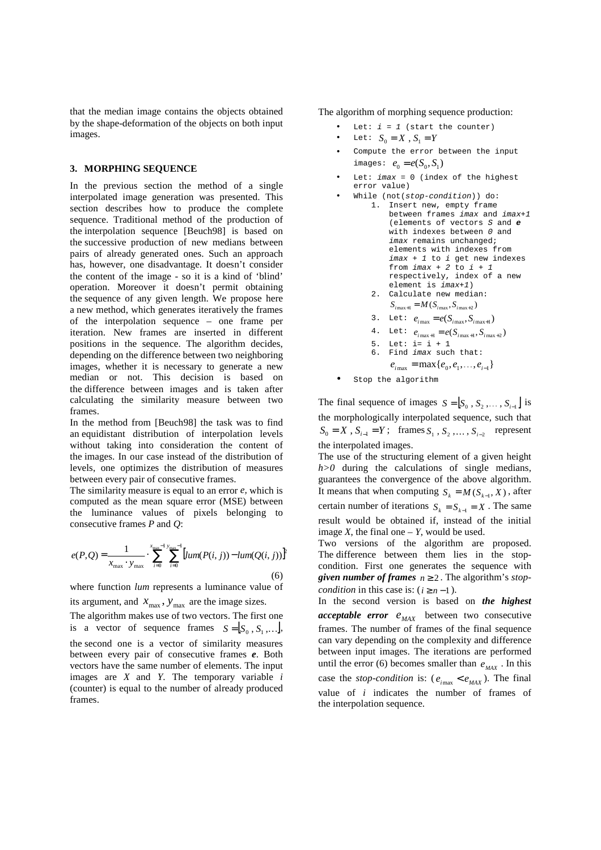that the median image contains the objects obtained by the shape-deformation of the objects on both input images.

#### **3. MORPHING SEQUENCE**

In the previous section the method of a single interpolated image generation was presented. This section describes how to produce the complete sequence. Traditional method of the production of the interpolation sequence [Beuch98] is based on the successive production of new medians between pairs of already generated ones. Such an approach has, however, one disadvantage. It doesn't consider the content of the image - so it is a kind of 'blind' operation. Moreover it doesn't permit obtaining the sequence of any given length. We propose here a new method, which generates iteratively the frames of the interpolation sequence – one frame per iteration. New frames are inserted in different positions in the sequence. The algorithm decides, depending on the difference between two neighboring images, whether it is necessary to generate a new median or not. This decision is based on the difference between images and is taken after calculating the similarity measure between two frames.

In the method from [Beuch98] the task was to find an equidistant distribution of interpolation levels without taking into consideration the content of the images. In our case instead of the distribution of levels, one optimizes the distribution of measures between every pair of consecutive frames.

The similarity measure is equal to an error *e,* which is computed as the mean square error (MSE) between the luminance values of pixels belonging to consecutive frames *P* and *Q*:

$$
e(P,Q) = \frac{1}{x_{\text{max}} \cdot y_{\text{max}}} \cdot \sum_{i=0}^{x_{\text{max}}-1} \sum_{j=0}^{y_{\text{max}}-1} [lum(P(i,j)) - lum(Q(i,j))]^p
$$
(6)

where function *lum* represents a luminance value of its argument, and  $x_{\text{max}}$ ,  $y_{\text{max}}$  are the image sizes.

The algorithm makes use of two vectors. The first one is a vector of sequence frames  $S = [S_0, S_1, \dots],$ the second one is a vector of similarity measures between every pair of consecutive frames *e*. Both vectors have the same number of elements. The input images are *X* and *Y*. The temporary variable *i* (counter) is equal to the number of already produced frames.

The algorithm of morphing sequence production:

- Let:  $i = 1$  (start the counter)
- Let:  $S_0 = X$ ,  $S_1 = Y$
- Compute the error between the input  $i$  mages:  $e_0 = e(S_0, S_1)$
- Let:  $imax = 0$  (index of the highest error value)
- While (not(stop-condition)) do: 1. Insert new, empty frame between frames imax and imax+1 (elements of vectors S and **e** with indexes between 0 and imax remains unchanged; elements with indexes from  $\text{imax} + 1$  to i get new indexes from  $imax + 2$  to  $i + 1$ respectively, index of a new element is imax+1) 2. Calculate new median:  $S_{i \max+1} = M(S_{i \max}, S_{i \max+2})$ 
	- 3. Let:  $e_{i \max} = e(S_{i \max}, S_{i \max+1})$
	- 4. Let:  $e_{i \max+1} = e(S_{i \max+1}, S_{i \max+2})$
	- 5. Let:  $i = i + 1$ 
		- 6. Find imax such that:
		- $e_{i_{\text{max}}} = \max\{e_0, e_1, \ldots, e_{i-1}\}\$
- Stop the algorithm

The final sequence of images  $S = [S_0, S_2, \dots, S_{i-1}]$  is the morphologically interpolated sequence, such that  $S_0 = X$ ,  $S_{i-1} = Y$ ; frames  $S_1$ ,  $S_2$ ,...,  $S_{i-2}$  represent the interpolated images.

The use of the structuring element of a given height *h>0* during the calculations of single medians, guarantees the convergence of the above algorithm. It means that when computing  $S_k = M(S_{k-1}, X)$ , after certain number of iterations  $S_k = S_{k-1} = X$ . The same result would be obtained if, instead of the initial image  $X$ , the final one  $- Y$ , would be used.

Two versions of the algorithm are proposed. The difference between them lies in the stopcondition. First one generates the sequence with *given number of frames*  $n \ge 2$ . The algorithm's *stopcondition* in this case is:  $(i \ge n-1)$ .

In the second version is based on *the highest acceptable error*  $e_{MAX}$  between two consecutive frames. The number of frames of the final sequence can vary depending on the complexity and difference between input images. The iterations are performed until the error (6) becomes smaller than  $e_{MAX}$ . In this case the *stop-condition* is:  $(e_{i_{\text{max}}} < e_{MAX})$ . The final value of *i* indicates the number of frames of the interpolation sequence.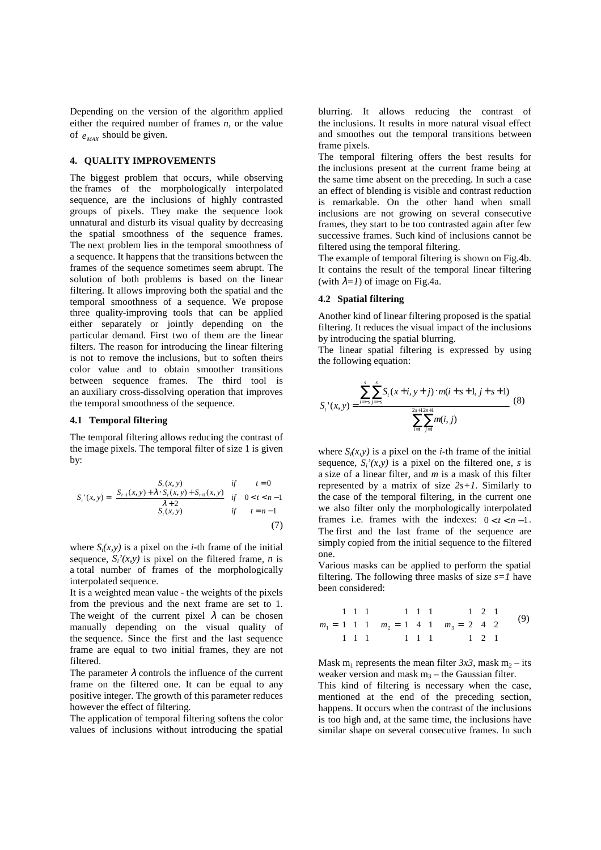Depending on the version of the algorithm applied either the required number of frames *n*, or the value of  $e_{MAX}$  should be given.

## **4. QUALITY IMPROVEMENTS**

The biggest problem that occurs, while observing the frames of the morphologically interpolated sequence, are the inclusions of highly contrasted groups of pixels. They make the sequence look unnatural and disturb its visual quality by decreasing the spatial smoothness of the sequence frames. The next problem lies in the temporal smoothness of a sequence. It happens that the transitions between the frames of the sequence sometimes seem abrupt. The solution of both problems is based on the linear filtering. It allows improving both the spatial and the temporal smoothness of a sequence. We propose three quality-improving tools that can be applied either separately or jointly depending on the particular demand. First two of them are the linear filters. The reason for introducing the linear filtering is not to remove the inclusions, but to soften theirs color value and to obtain smoother transitions between sequence frames. The third tool is an auxiliary cross-dissolving operation that improves the temporal smoothness of the sequence.

## **4.1 Temporal filtering**

The temporal filtering allows reducing the contrast of the image pixels. The temporal filter of size 1 is given by:

$$
S_{t}(x, y) = \begin{cases} S_{t}(x, y) & \text{if } t = 0\\ S_{t-1}(x, y) + \lambda \cdot S_{t}(x, y) + S_{t+1}(x, y) & \text{if } 0 < t < n-1\\ \lambda + 2 & \text{if } t = n-1\\ S_{t}(x, y) & \text{if } t = n-1 \end{cases}
$$
(7)

where  $S_i(x, y)$  is a pixel on the *i*-th frame of the initial sequence,  $S_i'(x, y)$  is pixel on the filtered frame, *n* is a total number of frames of the morphologically interpolated sequence.

It is a weighted mean value - the weights of the pixels from the previous and the next frame are set to 1. The weight of the current pixel  $\lambda$  can be chosen manually depending on the visual quality of the sequence. Since the first and the last sequence frame are equal to two initial frames, they are not filtered.

The parameter  $\lambda$  controls the influence of the current frame on the filtered one. It can be equal to any positive integer. The growth of this parameter reduces however the effect of filtering.

The application of temporal filtering softens the color values of inclusions without introducing the spatial

blurring. It allows reducing the contrast of the inclusions. It results in more natural visual effect and smoothes out the temporal transitions between frame pixels.

The temporal filtering offers the best results for the inclusions present at the current frame being at the same time absent on the preceding. In such a case an effect of blending is visible and contrast reduction is remarkable. On the other hand when small inclusions are not growing on several consecutive frames, they start to be too contrasted again after few successive frames. Such kind of inclusions cannot be filtered using the temporal filtering.

The example of temporal filtering is shown on Fig.4b. It contains the result of the temporal linear filtering (with  $\lambda = I$ ) of image on Fig.4a.

## **4.2 Spatial filtering**

Another kind of linear filtering proposed is the spatial filtering. It reduces the visual impact of the inclusions by introducing the spatial blurring.

The linear spatial filtering is expressed by using the following equation:

$$
S_{t}(x, y) = \frac{\sum_{i=s}^{s} \sum_{j=s}^{s} S_{t}(x+i, y+j) \cdot m(i+s+1, j+s+1)}{\sum_{i=1}^{2s+1} \sum_{j=1}^{2s+1} m(i, j)}
$$
(8)

where  $S_i(x, y)$  is a pixel on the *i*-th frame of the initial sequence,  $S_i'(x, y)$  is a pixel on the filtered one, *s* is a size of a linear filter, and *m* is a mask of this filter represented by a matrix of size *2s+1*. Similarly to the case of the temporal filtering, in the current one we also filter only the morphologically interpolated frames i.e. frames with the indexes:  $0 < t < n-1$ . The first and the last frame of the sequence are simply copied from the initial sequence to the filtered one.

Various masks can be applied to perform the spatial filtering. The following three masks of size *s=1* have been considered:

$$
m_1 = \begin{bmatrix} 1 & 1 & 1 \\ 1 & 1 & 1 \\ 1 & 1 & 1 \end{bmatrix} \quad m_2 = \begin{bmatrix} 1 & 1 & 1 \\ 1 & 4 & 1 \\ 1 & 1 & 1 \end{bmatrix} \quad m_3 = \begin{bmatrix} 1 & 2 & 1 \\ 2 & 4 & 2 \\ 1 & 2 & 1 \end{bmatrix} \tag{9}
$$

Mask m<sub>1</sub> represents the mean filter  $3x3$ , mask m<sub>2</sub> – its weaker version and mask  $m_3$  – the Gaussian filter.

This kind of filtering is necessary when the case, mentioned at the end of the preceding section, happens. It occurs when the contrast of the inclusions is too high and, at the same time, the inclusions have similar shape on several consecutive frames. In such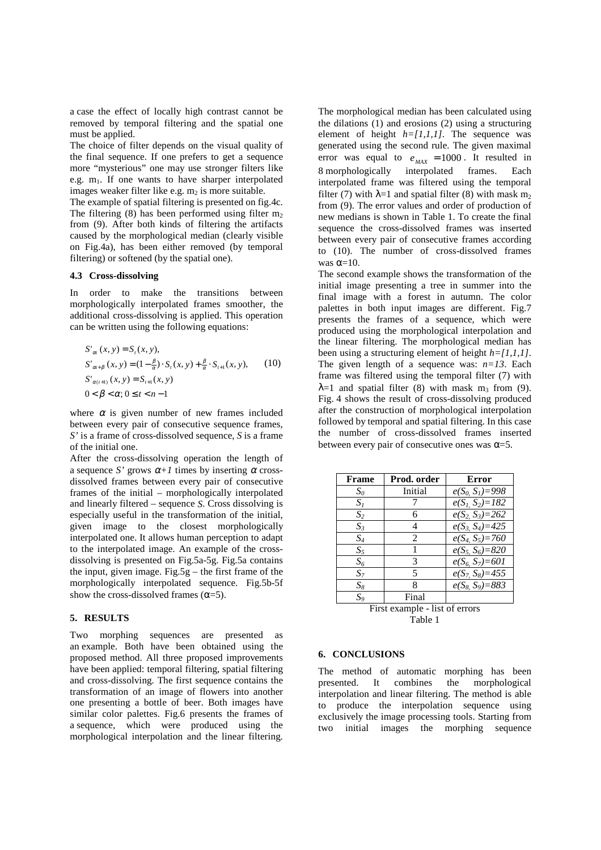a case the effect of locally high contrast cannot be removed by temporal filtering and the spatial one must be applied.

The choice of filter depends on the visual quality of the final sequence. If one prefers to get a sequence more "mysterious" one may use stronger filters like e.g.  $m_1$ . If one wants to have sharper interpolated images weaker filter like e.g.  $m_2$  is more suitable.

The example of spatial filtering is presented on fig.4c. The filtering (8) has been performed using filter  $m_2$ from (9). After both kinds of filtering the artifacts caused by the morphological median (clearly visible on Fig.4a), has been either removed (by temporal filtering) or softened (by the spatial one).

### **4.3 Cross-dissolving**

In order to make the transitions between morphologically interpolated frames smoother, the additional cross-dissolving is applied. This operation can be written using the following equations:

$$
S'_{\alpha}(x, y) = S_{t}(x, y),
$$
  
\n
$$
S'_{\alpha+\beta}(x, y) = (1 - \frac{\beta}{\alpha}) \cdot S_{t}(x, y) + \frac{\beta}{\alpha} \cdot S_{t+1}(x, y),
$$
  
\n
$$
S'_{\alpha(t+1)}(x, y) = S_{t+1}(x, y)
$$
  
\n
$$
0 < \beta < \alpha; 0 \le t < n - 1
$$
 (10)

where  $\alpha$  is given number of new frames included between every pair of consecutive sequence frames, *S'* is a frame of cross-dissolved sequence, *S* is a frame of the initial one.

After the cross-dissolving operation the length of a sequence *S'* grows  $\alpha + 1$  times by inserting  $\alpha$  crossdissolved frames between every pair of consecutive frames of the initial – morphologically interpolated and linearly filtered – sequence *S*. Cross dissolving is especially useful in the transformation of the initial, given image to the closest morphologically interpolated one. It allows human perception to adapt to the interpolated image. An example of the crossdissolving is presented on Fig.5a-5g. Fig.5a contains the input, given image. Fig.5g – the first frame of the morphologically interpolated sequence. Fig.5b-5f show the cross-dissolved frames  $(\alpha=5)$ .

#### **5. RESULTS**

Two morphing sequences are presented as an example. Both have been obtained using the proposed method. All three proposed improvements have been applied: temporal filtering, spatial filtering and cross-dissolving. The first sequence contains the transformation of an image of flowers into another one presenting a bottle of beer. Both images have similar color palettes. Fig.6 presents the frames of a sequence, which were produced using the morphological interpolation and the linear filtering.

The morphological median has been calculated using the dilations (1) and erosions (2) using a structuring element of height  $h=[1,1,1]$ . The sequence was generated using the second rule. The given maximal error was equal to  $e_{MAX} = 1000$ . It resulted in 8 morphologically interpolated frames. Each interpolated frame was filtered using the temporal filter (7) with  $\lambda=1$  and spatial filter (8) with mask m<sub>2</sub> from (9). The error values and order of production of new medians is shown in Table 1. To create the final sequence the cross-dissolved frames was inserted between every pair of consecutive frames according to (10). The number of cross-dissolved frames was  $\alpha=10$ .

The second example shows the transformation of the initial image presenting a tree in summer into the final image with a forest in autumn. The color palettes in both input images are different. Fig.7 presents the frames of a sequence, which were produced using the morphological interpolation and the linear filtering. The morphological median has been using a structuring element of height *h=[1,1,1]*. The given length of a sequence was:  $n=13$ . Each frame was filtered using the temporal filter (7) with  $\lambda$ =1 and spatial filter (8) with mask m<sub>3</sub> from (9). Fig. 4 shows the result of cross-dissolving produced after the construction of morphological interpolation followed by temporal and spatial filtering. In this case the number of cross-dissolved frames inserted between every pair of consecutive ones was  $\alpha = 5$ .

| Frame                          | Prod. order    | Error               |
|--------------------------------|----------------|---------------------|
| S <sub>0</sub>                 | Initial        | $e(S_0, S_1)=998$   |
| $S_I$                          | 7              | $e(S_1, S_2)=182$   |
| S <sub>2</sub>                 | 6              | $e(S_2, S_3)=262$   |
| $S_3$                          | 4              | $e(S_3, S_4)=425$   |
| $S_4$                          | $\overline{c}$ | $e(S_4, S_5)=760$   |
| $S_5$                          | 1              | $e(S_5, S_6)=820$   |
| $S_6$                          | 3              | $e(S_6, S_7)=601$   |
| $S_7$                          | 5              | $e(S_7, S_8)=455$   |
| $S_8$                          | 8              | $e(S_8, S_9) = 883$ |
| $S_9$                          | Final          |                     |
| First example - list of errors |                |                     |

Table 1

#### **6. CONCLUSIONS**

The method of automatic morphing has been presented. It combines the morphological interpolation and linear filtering. The method is able to produce the interpolation sequence using exclusively the image processing tools. Starting from two initial images the morphing sequence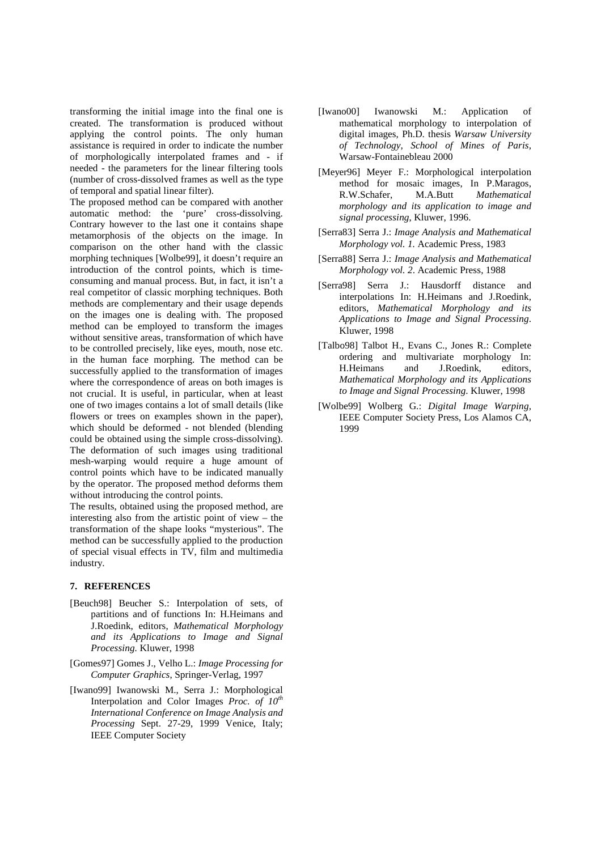transforming the initial image into the final one is created. The transformation is produced without applying the control points. The only human assistance is required in order to indicate the number of morphologically interpolated frames and - if needed - the parameters for the linear filtering tools (number of cross-dissolved frames as well as the type of temporal and spatial linear filter).

The proposed method can be compared with another automatic method: the 'pure' cross-dissolving. Contrary however to the last one it contains shape metamorphosis of the objects on the image. In comparison on the other hand with the classic morphing techniques [Wolbe99], it doesn't require an introduction of the control points, which is timeconsuming and manual process. But, in fact, it isn't a real competitor of classic morphing techniques. Both methods are complementary and their usage depends on the images one is dealing with. The proposed method can be employed to transform the images without sensitive areas, transformation of which have to be controlled precisely, like eyes, mouth, nose etc. in the human face morphing. The method can be successfully applied to the transformation of images where the correspondence of areas on both images is not crucial. It is useful, in particular, when at least one of two images contains a lot of small details (like flowers or trees on examples shown in the paper), which should be deformed - not blended (blending could be obtained using the simple cross-dissolving). The deformation of such images using traditional mesh-warping would require a huge amount of control points which have to be indicated manually by the operator. The proposed method deforms them without introducing the control points.

The results, obtained using the proposed method, are interesting also from the artistic point of view – the transformation of the shape looks "mysterious". The method can be successfully applied to the production of special visual effects in TV, film and multimedia industry.

## **7. REFERENCES**

- [Beuch98] Beucher S.: Interpolation of sets, of partitions and of functions In: H.Heimans and J.Roedink, editors, *Mathematical Morphology and its Applications to Image and Signal Processing.* Kluwer, 1998
- [Gomes97] Gomes J., Velho L.: *Image Processing for Computer Graphics*, Springer-Verlag, 1997
- [Iwano99] Iwanowski M., Serra J.: Morphological Interpolation and Color Images *Proc. of 10th International Conference on Image Analysis and Processing* Sept. 27-29, 1999 Venice, Italy; IEEE Computer Society
- [Iwano00] Iwanowski M.: Application of mathematical morphology to interpolation of digital images, Ph.D. thesis *Warsaw University of Technology, School of Mines of Paris,* Warsaw-Fontainebleau 2000
- [Meyer96] Meyer F.: Morphological interpolation method for mosaic images, In P.Maragos, R.W.Schafer, M.A.Butt *Mathematical morphology and its application to image and signal processing*, Kluwer, 1996.
- [Serra83] Serra J.: *Image Analysis and Mathematical Morphology vol. 1.* Academic Press, 1983
- [Serra88] Serra J.: *Image Analysis and Mathematical Morphology vol. 2*. Academic Press, 1988
- [Serra98] Serra J.: Hausdorff distance and interpolations In: H.Heimans and J.Roedink, editors, *Mathematical Morphology and its Applications to Image and Signal Processing*. Kluwer, 1998
- [Talbo98] Talbot H., Evans C., Jones R.: Complete ordering and multivariate morphology In: H.Heimans and J.Roedink, editors, *Mathematical Morphology and its Applications to Image and Signal Processing*. Kluwer, 1998
- [Wolbe99] Wolberg G.: *Digital Image Warping,* IEEE Computer Society Press, Los Alamos CA, 1999